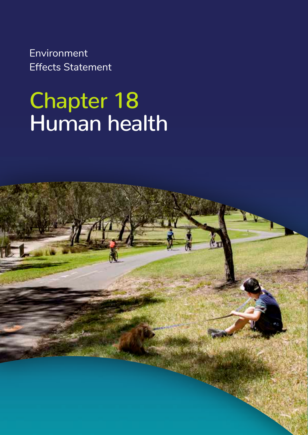Environment Effects Statement

# Chapter 18 Human health

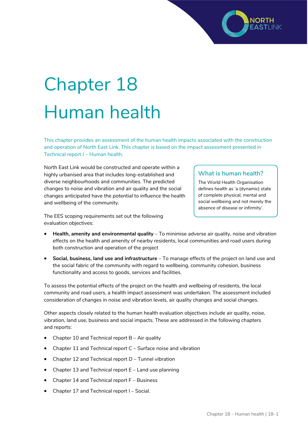# Chapter 18 Human health

This chapter provides an assessment of the human health impacts associated with the construction and operation of North East Link. This chapter is based on the impact assessment presented in Technical report J – Human health.

North East Link would be constructed and operate within a highly urbanised area that includes long-established and diverse neighbourhoods and communities. The predicted changes to noise and vibration and air quality and the social changes anticipated have the potential to influence the health and wellbeing of the community.

The EES scoping requirements set out the following evaluation objectives:

#### **What is human health?**

The World Health Organisation defines health as 'a (dynamic) state of complete physical, mental and social wellbeing and not merely the absence of disease or infirmity'.

- **Health, amenity and environmental quality**  To minimise adverse air quality, noise and vibration effects on the health and amenity of nearby residents, local communities and road users during both construction and operation of the project
- **Social, business, land use and infrastructure**  To manage effects of the project on land use and the social fabric of the community with regard to wellbeing, community cohesion, business functionality and access to goods, services and facilities.

To assess the potential effects of the project on the health and wellbeing of residents, the local community and road users, a health impact assessment was undertaken. The assessment included consideration of changes in noise and vibration levels, air quality changes and social changes.

Other aspects closely related to the human health evaluation objectives include air quality, noise, vibration, land use, business and social impacts. These are addressed in the following chapters and reports:

- Chapter 10 and Technical report  $B Air$  quality
- Chapter 11 and Technical report C Surface noise and vibration
- Chapter 12 and Technical report D Tunnel vibration
- Chapter 13 and Technical report E Land use planning
- Chapter 14 and Technical report F Business
- Chapter 17 and Technical report I Social.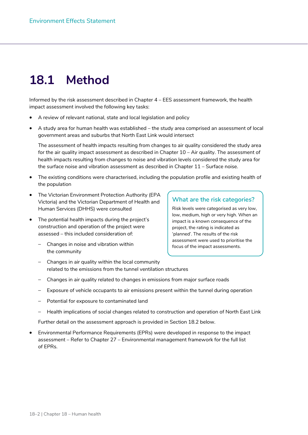## **18.1 Method**

Informed by the risk assessment described in Chapter 4 – EES assessment framework, the health impact assessment involved the following key tasks:

- A review of relevant national, state and local legislation and policy
- A study area for human health was established the study area comprised an assessment of local government areas and suburbs that North East Link would intersect

The assessment of health impacts resulting from changes to air quality considered the study area for the air quality impact assessment as described in Chapter 10 – Air quality. The assessment of health impacts resulting from changes to noise and vibration levels considered the study area for the surface noise and vibration assessment as described in Chapter 11 – Surface noise.

- The existing conditions were characterised, including the population profile and existing health of the population
- The Victorian Environment Protection Authority (EPA Victoria) and the Victorian Department of Health and Human Services (DHHS) were consulted
- The potential health impacts during the project's construction and operation of the project were assessed – this included consideration of:
	- Changes in noise and vibration within the community

#### **What are the risk categories?**

Risk levels were categorised as very low, low, medium, high or very high. When an impact is a known consequence of the project, the rating is indicated as 'planned'. The results of the risk assessment were used to prioritise the focus of the impact assessments.

- Changes in air quality within the local community related to the emissions from the tunnel ventilation structures
- Changes in air quality related to changes in emissions from major surface roads
- Exposure of vehicle occupants to air emissions present within the tunnel during operation
- Potential for exposure to contaminated land
- Health implications of social changes related to construction and operation of North East Link

Further detail on the assessment approach is provided in Section 18.2 below.

• Environmental Performance Requirements (EPRs) were developed in response to the impact assessment – Refer to Chapter 27 – Environmental management framework for the full list of EPRs.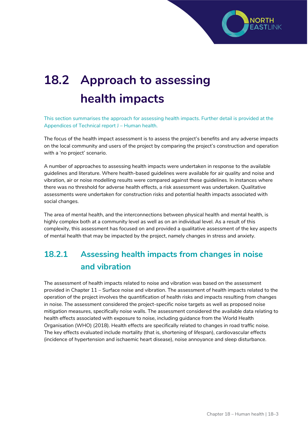

## **18.2 Approach to assessing health impacts**

This section summarises the approach for assessing health impacts. Further detail is provided at the Appendices of Technical report J – Human health.

The focus of the health impact assessment is to assess the project's benefits and any adverse impacts on the local community and users of the project by comparing the project's construction and operation with a 'no project' scenario.

A number of approaches to assessing health impacts were undertaken in response to the available guidelines and literature. Where health-based guidelines were available for air quality and noise and vibration, air or noise modelling results were compared against these guidelines. In instances where there was no threshold for adverse health effects, a risk assessment was undertaken. Qualitative assessments were undertaken for construction risks and potential health impacts associated with social changes.

The area of mental health, and the interconnections between physical health and mental health, is highly complex both at a community level as well as on an individual level. As a result of this complexity, this assessment has focused on and provided a qualitative assessment of the key aspects of mental health that may be impacted by the project, namely changes in stress and anxiety.

#### **18.2.1 Assessing health impacts from changes in noise and vibration**

The assessment of health impacts related to noise and vibration was based on the assessment provided in Chapter 11 – Surface noise and vibration. The assessment of health impacts related to the operation of the project involves the quantification of health risks and impacts resulting from changes in noise. The assessment considered the project-specific noise targets as well as proposed noise mitigation measures, specifically noise walls. The assessment considered the available data relating to health effects associated with exposure to noise, including guidance from the World Health Organisation (WHO) (2018). Health effects are specifically related to changes in road traffic noise. The key effects evaluated include mortality (that is, shortening of lifespan), cardiovascular effects (incidence of hypertension and ischaemic heart disease), noise annoyance and sleep disturbance.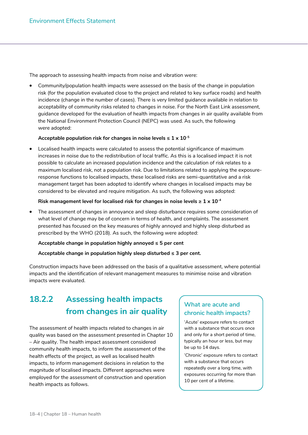The approach to assessing health impacts from noise and vibration were:

• Community/population health impacts were assessed on the basis of the change in population risk (for the population evaluated close to the project and related to key surface roads) and health incidence (change in the number of cases). There is very limited guidance available in relation to acceptability of community risks related to changes in noise. For the North East Link assessment, guidance developed for the evaluation of health impacts from changes in air quality available from the National Environment Protection Council (NEPC) was used. As such, the following were adopted:

#### Acceptable population risk for changes in noise levels  $\leq 1 \times 10^{-5}$

• Localised health impacts were calculated to assess the potential significance of maximum increases in noise due to the redistribution of local traffic. As this is a localised impact it is not possible to calculate an increased population incidence and the calculation of risk relates to a maximum localised risk, not a population risk. Due to limitations related to applying the exposureresponse functions to localised impacts, these localised risks are semi-quantitative and a risk management target has been adopted to identify where changes in localised impacts may be considered to be elevated and require mitigation. As such, the following was adopted:

#### Risk management level for localised risk for changes in noise levels ≥  $1 \times 10^{-4}$

• The assessment of changes in annoyance and sleep disturbance requires some consideration of what level of change may be of concern in terms of health, and complaints. The assessment presented has focused on the key measures of highly annoyed and highly sleep disturbed as prescribed by the WHO (2018). As such, the following were adopted:

#### **Acceptable change in population highly annoyed ≤ 5 per cent**

#### **Acceptable change in population highly sleep disturbed ≤ 3 per cent.**

Construction impacts have been addressed on the basis of a qualitative assessment, where potential impacts and the identification of relevant management measures to minimise noise and vibration impacts were evaluated.

#### **18.2.2 Assessing health impacts from changes in air quality**

The assessment of health impacts related to changes in air quality was based on the assessment presented in Chapter 10 – Air quality. The health impact assessment considered community health impacts, to inform the assessment of the health effects of the project, as well as localised health impacts, to inform management decisions in relation to the magnitude of localised impacts. Different approaches were employed for the assessment of construction and operation health impacts as follows.

#### **What are acute and chronic health impacts?**

'Acute' exposure refers to contact with a substance that occurs once and only for a short period of time, typically an hour or less, but may be up to 14 days.

'Chronic' exposure refers to contact with a substance that occurs repeatedly over a long time, with exposures occurring for more than 10 per cent of a lifetime.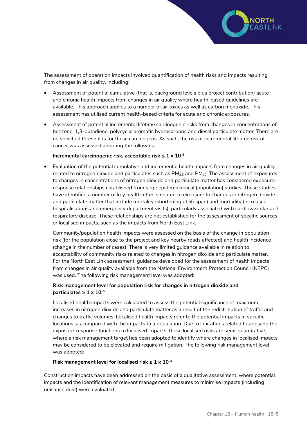

The assessment of operation impacts involved quantification of health risks and impacts resulting from changes in air quality, including:

- Assessment of potential cumulative (that is, background levels plus project contribution) acute and chronic health impacts from changes in air quality where health-based guidelines are available. This approach applies to a number of air toxics as well as carbon monoxide. This assessment has utilised current health-based criteria for acute and chronic exposures.
- Assessment of potential incremental lifetime carcinogenic risks from changes in concentrations of benzene, 1,3-butadiene, polycyclic aromatic hydrocarbons and diesel particulate matter. There are no specified thresholds for these carcinogens. As such, the risk of incremental lifetime risk of cancer was assessed adopting the following:

#### **Incremental carcinogenic risk, acceptable risk ≤ 1 x 10-6**

• Evaluation of the potential cumulative and incremental health impacts from changes in air quality related to nitrogen dioxide and particulates such as  $PM<sub>2.5</sub>$  and  $PM<sub>10</sub>$ . The assessment of exposures to changes in concentrations of nitrogen dioxide and particulate matter has considered exposureresponse relationships established from large epidemiological (population) studies. These studies have identified a number of key health-effects related to exposure to changes in nitrogen dioxide and particulate matter that include mortality (shortening of lifespan) and morbidity (increased hospitalisations and emergency department visits), particularly associated with cardiovascular and respiratory disease. These relationships are not established for the assessment of specific sources or localised impacts, such as the impacts from North East Link.

Community/population health impacts were assessed on the basis of the change in population risk (for the population close to the project and key nearby roads affected) and health incidence (change in the number of cases). There is very limited guidance available in relation to acceptability of community risks related to changes in nitrogen dioxide and particulate matter. For the North East Link assessment, guidance developed for the assessment of health impacts from changes in air quality available from the National Environment Protection Council (NEPC) was used. The following risk management level was adopted:

#### **Risk management level for population risk for changes in nitrogen dioxide and particulates**  $\geq 1 \times 10^{-5}$

Localised health impacts were calculated to assess the potential significance of maximum increases in nitrogen dioxide and particulate matter as a result of the redistribution of traffic and changes to traffic volumes. Localised health impacts refer to the potential impacts in specific locations, as compared with the impacts to a population. Due to limitations related to applying the exposure-response functions to localised impacts, these localised risks are semi-quantitative, where a risk management target has been adopted to identify where changes in localised impacts may be considered to be elevated and require mitigation. The following risk management level was adopted:

#### Risk management level for localised risk  $\geq 1 \times 10^{-4}$

Construction impacts have been addressed on the basis of a qualitative assessment, where potential impacts and the identification of relevant management measures to minimise impacts (including nuisance dust) were evaluated.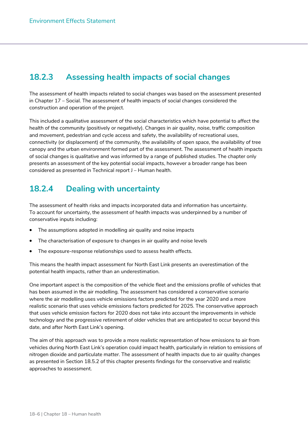#### **18.2.3 Assessing health impacts of social changes**

The assessment of health impacts related to social changes was based on the assessment presented in Chapter 17 – Social. The assessment of health impacts of social changes considered the construction and operation of the project.

This included a qualitative assessment of the social characteristics which have potential to affect the health of the community (positively or negatively). Changes in air quality, noise, traffic composition and movement, pedestrian and cycle access and safety, the availability of recreational uses, connectivity (or displacement) of the community, the availability of open space, the availability of tree canopy and the urban environment formed part of the assessment. The assessment of health impacts of social changes is qualitative and was informed by a range of published studies. The chapter only presents an assessment of the key potential social impacts, however a broader range has been considered as presented in Technical report J – Human health.

#### **18.2.4 Dealing with uncertainty**

The assessment of health risks and impacts incorporated data and information has uncertainty. To account for uncertainty, the assessment of health impacts was underpinned by a number of conservative inputs including:

- The assumptions adopted in modelling air quality and noise impacts
- The characterisation of exposure to changes in air quality and noise levels
- The exposure-response relationships used to assess health effects.

This means the health impact assessment for North East Link presents an overestimation of the potential health impacts, rather than an underestimation.

One important aspect is the composition of the vehicle fleet and the emissions profile of vehicles that has been assumed in the air modelling. The assessment has considered a conservative scenario where the air modelling uses vehicle emissions factors predicted for the year 2020 and a more realistic scenario that uses vehicle emissions factors predicted for 2025. The conservative approach that uses vehicle emission factors for 2020 does not take into account the improvements in vehicle technology and the progressive retirement of older vehicles that are anticipated to occur beyond this date, and after North East Link's opening.

The aim of this approach was to provide a more realistic representation of how emissions to air from vehicles during North East Link's operation could impact health, particularly in relation to emissions of nitrogen dioxide and particulate matter. The assessment of health impacts due to air quality changes as presented in Section 18.5.2 of this chapter presents findings for the conservative and realistic approaches to assessment.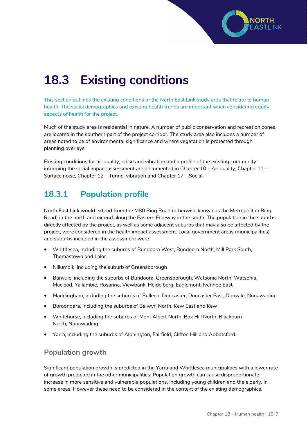

## **18.3 Existing conditions**

This section outlines the existing conditions of the North East Link study area that relate to human health. The social demographics and existing health trends are important when considering equity aspects of health for the project.

Much of the study area is residential in nature. A number of public conservation and recreation zones are located in the southern part of the project corridor. The study area also includes a number of areas noted to be of environmental significance and where vegetation is protected through planning overlays.

Existing conditions for air quality, noise and vibration and a profile of the existing community informing the social impact assessment are documented in Chapter 10 – Air quality, Chapter 11 – Surface noise, Chapter 12 – Tunnel vibration and Chapter 17 – Social.

#### **18.3.1 Population profile**

North East Link would extend from the M80 Ring Road (otherwise known as the Metropolitan Ring Road) in the north and extend along the Eastern Freeway in the south. The population in the suburbs directly affected by the project, as well as some adjacent suburbs that may also be affected by the project, were considered in the health impact assessment. Local government areas (municipalities) and suburbs included in the assessment were:

- Whittlesea, including the suburbs of Bundoora West, Bundoora North, Mill Park South, Thomastown and Lalor
- Nillumbik, including the suburb of Greensborough
- Banyule, including the suburbs of Bundoora, Greensborough, Watsonia North, Watsonia, Macleod, Yallambie, Rosanna, Viewbank, Heidelberg, Eaglemont, Ivanhoe East
- Manningham, including the suburbs of Bulleen, Doncaster, Doncaster East, Donvale, Nunawading
- Boroondara, including the suburbs of Balwyn North, Kew East and Kew
- Whitehorse, including the suburbs of Mont Albert North, Box Hill North, Blackburn North, Nunawading
- Yarra, including the suburbs of Alphington, Fairfield, Clifton Hill and Abbotsford.

#### **Population growth**

Significant population growth is predicted in the Yarra and Whittlesea municipalities with a lower rate of growth predicted in the other municipalities. Population growth can cause disproportionate increase in more sensitive and vulnerable populations, including young children and the elderly, in some areas. However these need to be considered in the context of the existing demographics.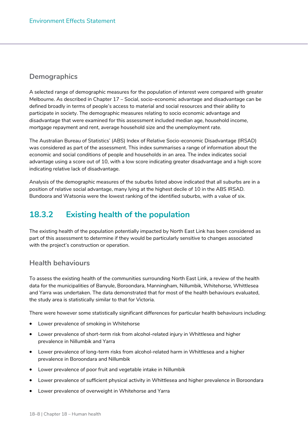#### **Demographics**

A selected range of demographic measures for the population of interest were compared with greater Melbourne. As described in Chapter 17 – Social, socio-economic advantage and disadvantage can be defined broadly in terms of people's access to material and social resources and their ability to participate in society. The demographic measures relating to socio economic advantage and disadvantage that were examined for this assessment included median age, household income, mortgage repayment and rent, average household size and the unemployment rate.

The Australian Bureau of Statistics' (ABS) Index of Relative Socio-economic Disadvantage (IRSAD) was considered as part of the assessment. This index summarises a range of information about the economic and social conditions of people and households in an area. The index indicates social advantage using a score out of 10, with a low score indicating greater disadvantage and a high score indicating relative lack of disadvantage.

Analysis of the demographic measures of the suburbs listed above indicated that all suburbs are in a position of relative social advantage, many lying at the highest decile of 10 in the ABS IRSAD. Bundoora and Watsonia were the lowest ranking of the identified suburbs, with a value of six.

#### **18.3.2 Existing health of the population**

The existing health of the population potentially impacted by North East Link has been considered as part of this assessment to determine if they would be particularly sensitive to changes associated with the project's construction or operation.

#### **Health behaviours**

To assess the existing health of the communities surrounding North East Link, a review of the health data for the municipalities of Banyule, Boroondara, Manningham, Nillumbik, Whitehorse, Whittlesea and Yarra was undertaken. The data demonstrated that for most of the health behaviours evaluated, the study area is statistically similar to that for Victoria.

There were however some statistically significant differences for particular health behaviours including:

- Lower prevalence of smoking in Whitehorse
- Lower prevalence of short-term risk from alcohol-related injury in Whittlesea and higher prevalence in Nillumbik and Yarra
- Lower prevalence of long-term risks from alcohol-related harm in Whittlesea and a higher prevalence in Boroondara and Nillumbik
- Lower prevalence of poor fruit and vegetable intake in Nillumbik
- Lower prevalence of sufficient physical activity in Whittlesea and higher prevalence in Boroondara
- Lower prevalence of overweight in Whitehorse and Yarra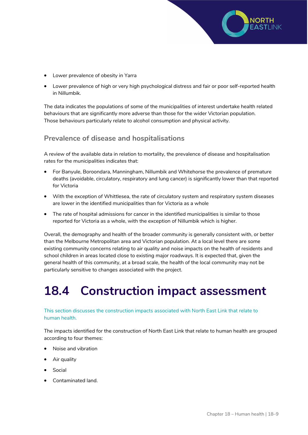

- Lower prevalence of obesity in Yarra
- Lower prevalence of high or very high psychological distress and fair or poor self-reported health in Nillumbik.

The data indicates the populations of some of the municipalities of interest undertake health related behaviours that are significantly more adverse than those for the wider Victorian population. Those behaviours particularly relate to alcohol consumption and physical activity.

#### **Prevalence of disease and hospitalisations**

A review of the available data in relation to mortality, the prevalence of disease and hospitalisation rates for the municipalities indicates that:

- For Banyule, Boroondara, Manningham, Nillumbik and Whitehorse the prevalence of premature deaths (avoidable, circulatory, respiratory and lung cancer) is significantly lower than that reported for Victoria
- With the exception of Whittlesea, the rate of circulatory system and respiratory system diseases are lower in the identified municipalities than for Victoria as a whole
- The rate of hospital admissions for cancer in the identified municipalities is similar to those reported for Victoria as a whole, with the exception of Nillumbik which is higher.

Overall, the demography and health of the broader community is generally consistent with, or better than the Melbourne Metropolitan area and Victorian population. At a local level there are some existing community concerns relating to air quality and noise impacts on the health of residents and school children in areas located close to existing major roadways. It is expected that, given the general health of this community, at a broad scale, the health of the local community may not be particularly sensitive to changes associated with the project.

## **18.4 Construction impact assessment**

#### This section discusses the construction impacts associated with North East Link that relate to human health.

The impacts identified for the construction of North East Link that relate to human health are grouped according to four themes:

- Noise and vibration
- Air quality
- Social
- Contaminated land.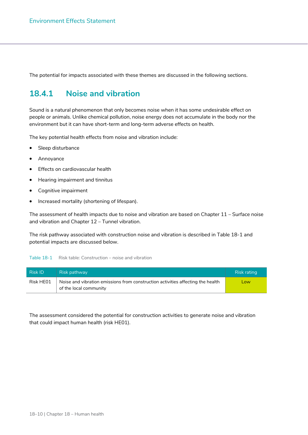The potential for impacts associated with these themes are discussed in the following sections.

#### **18.4.1 Noise and vibration**

Sound is a natural phenomenon that only becomes noise when it has some undesirable effect on people or animals. Unlike chemical pollution, noise energy does not accumulate in the body nor the environment but it can have short-term and long-term adverse effects on health.

The key potential health effects from noise and vibration include:

- Sleep disturbance
- Annoyance
- Effects on cardiovascular health
- Hearing impairment and tinnitus
- Cognitive impairment
- Increased mortality (shortening of lifespan).

The assessment of health impacts due to noise and vibration are based on Chapter 11 – Surface noise and vibration and Chapter 12 – Tunnel vibration.

The risk pathway associated with construction noise and vibration is described in Table 18-1 and potential impacts are discussed below.

#### Table 18-1 Risk table: Construction – noise and vibration

| <b>Risk ID</b> | Risk pathway                                                                                              | <b>Risk rating</b> |
|----------------|-----------------------------------------------------------------------------------------------------------|--------------------|
| Risk HE01      | Noise and vibration emissions from construction activities affecting the health<br>of the local community | Low                |

The assessment considered the potential for construction activities to generate noise and vibration that could impact human health (risk HE01).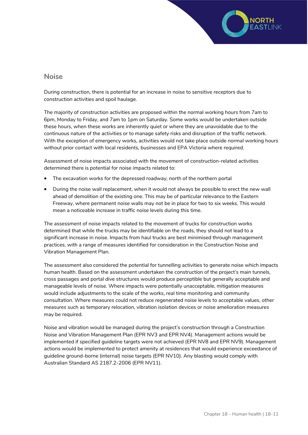

#### **Noise**

During construction, there is potential for an increase in noise to sensitive receptors due to construction activities and spoil haulage.

The majority of construction activities are proposed within the normal working hours from 7am to 6pm, Monday to Friday, and 7am to 1pm on Saturday. Some works would be undertaken outside these hours, when these works are inherently quiet or where they are unavoidable due to the continuous nature of the activities or to manage safety risks and disruption of the traffic network. With the exception of emergency works, activities would not take place outside normal working hours without prior contact with local residents, businesses and EPA Victoria where required.

Assessment of noise impacts associated with the movement of construction-related activities determined there is potential for noise impacts related to:

- The excavation works for the depressed roadway, north of the northern portal
- During the noise wall replacement, when it would not always be possible to erect the new wall ahead of demolition of the existing one. This may be of particular relevance to the Eastern Freeway, where permanent noise walls may not be in place for two to six weeks. This would mean a noticeable increase in traffic noise levels during this time.

The assessment of noise impacts related to the movement of trucks for construction works determined that while the trucks may be identifiable on the roads, they should not lead to a significant increase in noise. Impacts from haul trucks are best minimised through management practices, with a range of measures identified for consideration in the Construction Noise and Vibration Management Plan.

The assessment also considered the potential for tunnelling activities to generate noise which impacts human health. Based on the assessment undertaken the construction of the project's main tunnels, cross passages and portal dive structures would produce perceptible but generally acceptable and manageable levels of noise. Where impacts were potentially unacceptable, mitigation measures would include adjustments to the scale of the works, real time monitoring and community consultation. Where measures could not reduce regenerated noise levels to acceptable values, other measures such as temporary relocation, vibration isolation devices or noise amelioration measures may be required.

Noise and vibration would be managed during the project's construction through a Construction Noise and Vibration Management Plan (EPR NV3 and EPR NV4). Management actions would be implemented if specified guideline targets were not achieved (EPR NV8 and EPR NV9). Management actions would be implemented to protect amenity at residences that would experience exceedance of guideline ground-borne (internal) noise targets (EPR NV10). Any blasting would comply with Australian Standard AS 2187.2-2006 (EPR NV11).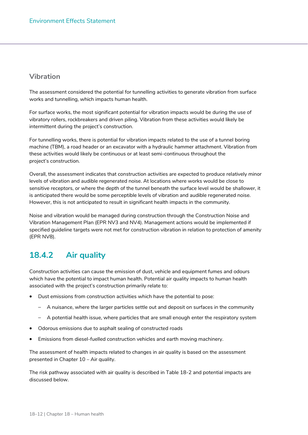#### **Vibration**

The assessment considered the potential for tunnelling activities to generate vibration from surface works and tunnelling, which impacts human health.

For surface works, the most significant potential for vibration impacts would be during the use of vibratory rollers, rockbreakers and driven piling. Vibration from these activities would likely be intermittent during the project's construction.

For tunnelling works, there is potential for vibration impacts related to the use of a tunnel boring machine (TBM), a road header or an excavator with a hydraulic hammer attachment. Vibration from these activities would likely be continuous or at least semi-continuous throughout the project's construction.

Overall, the assessment indicates that construction activities are expected to produce relatively minor levels of vibration and audible regenerated noise. At locations where works would be close to sensitive receptors, or where the depth of the tunnel beneath the surface level would be shallower, it is anticipated there would be some perceptible levels of vibration and audible regenerated noise. However, this is not anticipated to result in significant health impacts in the community.

Noise and vibration would be managed during construction through the Construction Noise and Vibration Management Plan (EPR NV3 and NV4). Management actions would be implemented if specified guideline targets were not met for construction vibration in relation to protection of amenity (EPR NV8).

#### **18.4.2 Air quality**

Construction activities can cause the emission of dust, vehicle and equipment fumes and odours which have the potential to impact human health. Potential air quality impacts to human health associated with the project's construction primarily relate to:

- Dust emissions from construction activities which have the potential to pose:
	- A nuisance, where the larger particles settle out and deposit on surfaces in the community
	- A potential health issue, where particles that are small enough enter the respiratory system
- Odorous emissions due to asphalt sealing of constructed roads
- Emissions from diesel-fuelled construction vehicles and earth moving machinery.

The assessment of health impacts related to changes in air quality is based on the assessment presented in Chapter 10 – Air quality.

The risk pathway associated with air quality is described in Table 18-2 and potential impacts are discussed below.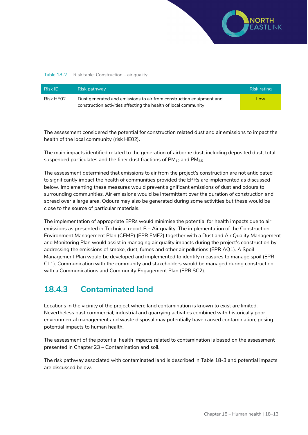

#### Table 18-2 Risk table: Construction – air quality

| Risk ID   | Risk pathway                                                                                                                           | Risk rating |
|-----------|----------------------------------------------------------------------------------------------------------------------------------------|-------------|
| Risk HE02 | Dust generated and emissions to air from construction equipment and<br>construction activities affecting the health of local community | Low         |

The assessment considered the potential for construction related dust and air emissions to impact the health of the local community (risk HE02).

The main impacts identified related to the generation of airborne dust, including deposited dust, total suspended particulates and the finer dust fractions of  $PM_{10}$  and  $PM_{2.5}$ .

The assessment determined that emissions to air from the project's construction are not anticipated to significantly impact the health of communities provided the EPRs are implemented as discussed below. Implementing these measures would prevent significant emissions of dust and odours to surrounding communities. Air emissions would be intermittent over the duration of construction and spread over a large area. Odours may also be generated during some activities but these would be close to the source of particular materials.

The implementation of appropriate EPRs would minimise the potential for health impacts due to air emissions as presented in Technical report B – Air quality. The implementation of the Construction Environment Management Plan (CEMP) (EPR EMF2) together with a Dust and Air Quality Management and Monitoring Plan would assist in managing air quality impacts during the project's construction by addressing the emissions of smoke, dust, fumes and other air pollutions (EPR AQ1). A Spoil Management Plan would be developed and implemented to identify measures to manage spoil (EPR CL1). Communication with the community and stakeholders would be managed during construction with a Communications and Community Engagement Plan (EPR SC2).

#### **18.4.3 Contaminated land**

Locations in the vicinity of the project where land contamination is known to exist are limited. Nevertheless past commercial, industrial and quarrying activities combined with historically poor environmental management and waste disposal may potentially have caused contamination, posing potential impacts to human health.

The assessment of the potential health impacts related to contamination is based on the assessment presented in Chapter 23 – Contamination and soil.

The risk pathway associated with contaminated land is described in Table 18-3 and potential impacts are discussed below.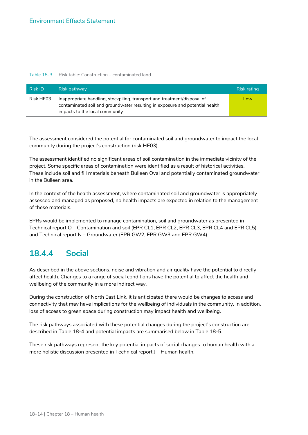#### Table 18-3 Risk table: Construction – contaminated land

| <b>Risk ID</b> | Risk pathway                                                                                                                                                                               | Risk rating |
|----------------|--------------------------------------------------------------------------------------------------------------------------------------------------------------------------------------------|-------------|
| Risk HE03      | Inappropriate handling, stockpiling, transport and treatment/disposal of<br>contaminated soil and groundwater resulting in exposure and potential health<br>impacts to the local community | Low         |

The assessment considered the potential for contaminated soil and groundwater to impact the local community during the project's construction (risk HE03).

The assessment identified no significant areas of soil contamination in the immediate vicinity of the project. Some specific areas of contamination were identified as a result of historical activities. These include soil and fill materials beneath Bulleen Oval and potentially contaminated groundwater in the Bulleen area.

In the context of the health assessment, where contaminated soil and groundwater is appropriately assessed and managed as proposed, no health impacts are expected in relation to the management of these materials.

EPRs would be implemented to manage contamination, soil and groundwater as presented in Technical report O – Contamination and soil (EPR CL1, EPR CL2, EPR CL3, EPR CL4 and EPR CL5) and Technical report N – Groundwater (EPR GW2, EPR GW3 and EPR GW4).

#### **18.4.4 Social**

As described in the above sections, noise and vibration and air quality have the potential to directly affect health. Changes to a range of social conditions have the potential to affect the health and wellbeing of the community in a more indirect way.

During the construction of North East Link, it is anticipated there would be changes to access and connectivity that may have implications for the wellbeing of individuals in the community. In addition, loss of access to green space during construction may impact health and wellbeing.

The risk pathways associated with these potential changes during the project's construction are described in Table 18-4 and potential impacts are summarised below in Table 18-5.

These risk pathways represent the key potential impacts of social changes to human health with a more holistic discussion presented in Technical report J – Human health.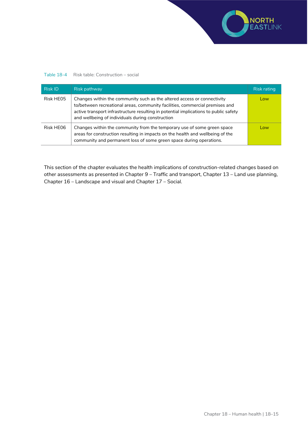

#### Table 18-4 Risk table: Construction – social

| Risk ID   | Risk pathway                                                                                                                                                                                                                                                                                        | <b>Risk rating</b> |
|-----------|-----------------------------------------------------------------------------------------------------------------------------------------------------------------------------------------------------------------------------------------------------------------------------------------------------|--------------------|
| Risk HE05 | Changes within the community such as the altered access or connectivity<br>to/between recreational areas, community facilities, commercial premises and<br>active transport infrastructure resulting in potential implications to public safety<br>and wellbeing of individuals during construction | Low                |
| Risk HE06 | Changes within the community from the temporary use of some green space<br>areas for construction resulting in impacts on the health and wellbeing of the<br>community and permanent loss of some green space during operations.                                                                    | Low                |

This section of the chapter evaluates the health implications of construction-related changes based on other assessments as presented in Chapter 9 – Traffic and transport, Chapter 13 – Land use planning, Chapter 16 – Landscape and visual and Chapter 17 – Social.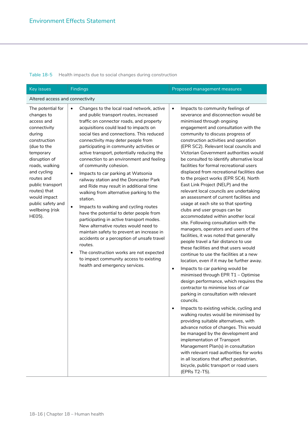#### Table 18-5 Health impacts due to social changes during construction

| <b>Key issues</b>                                                                                                                                                                                                                                                                         | <b>Findings</b>                                                                                                                                                                                                                                                                                                                                                                                                                                                                                                                                                                                                                                                                                                                                                                                                                                                                                                                                                                                                                                                       | Proposed management measures                                                                                                                                                                                                                                                                                                                                                                                                                                                                                                                                                                                                                                                                                                                                                                                                                                                                                                                                                                                                                                                                                                                                                                                                                                                                                                                                                                                                                                                                                                                                                                                                                                                                                                          |  |  |  |  |
|-------------------------------------------------------------------------------------------------------------------------------------------------------------------------------------------------------------------------------------------------------------------------------------------|-----------------------------------------------------------------------------------------------------------------------------------------------------------------------------------------------------------------------------------------------------------------------------------------------------------------------------------------------------------------------------------------------------------------------------------------------------------------------------------------------------------------------------------------------------------------------------------------------------------------------------------------------------------------------------------------------------------------------------------------------------------------------------------------------------------------------------------------------------------------------------------------------------------------------------------------------------------------------------------------------------------------------------------------------------------------------|---------------------------------------------------------------------------------------------------------------------------------------------------------------------------------------------------------------------------------------------------------------------------------------------------------------------------------------------------------------------------------------------------------------------------------------------------------------------------------------------------------------------------------------------------------------------------------------------------------------------------------------------------------------------------------------------------------------------------------------------------------------------------------------------------------------------------------------------------------------------------------------------------------------------------------------------------------------------------------------------------------------------------------------------------------------------------------------------------------------------------------------------------------------------------------------------------------------------------------------------------------------------------------------------------------------------------------------------------------------------------------------------------------------------------------------------------------------------------------------------------------------------------------------------------------------------------------------------------------------------------------------------------------------------------------------------------------------------------------------|--|--|--|--|
|                                                                                                                                                                                                                                                                                           | Altered access and connectivity                                                                                                                                                                                                                                                                                                                                                                                                                                                                                                                                                                                                                                                                                                                                                                                                                                                                                                                                                                                                                                       |                                                                                                                                                                                                                                                                                                                                                                                                                                                                                                                                                                                                                                                                                                                                                                                                                                                                                                                                                                                                                                                                                                                                                                                                                                                                                                                                                                                                                                                                                                                                                                                                                                                                                                                                       |  |  |  |  |
| The potential for<br>changes to<br>access and<br>connectivity<br>during<br>construction<br>(due to the<br>temporary<br>disruption of<br>roads, walking<br>and cycling<br>routes and<br>public transport<br>routes) that<br>would impact<br>public safety and<br>wellbeing (risk<br>HE05). | Changes to the local road network, active<br>$\bullet$<br>and public transport routes, increased<br>traffic on connector roads, and property<br>acquisitions could lead to impacts on<br>social ties and connections. This reduced<br>connectivity may deter people from<br>participating in community activities or<br>active transport, potentially reducing the<br>connection to an environment and feeling<br>of community cohesion.<br>Impacts to car parking at Watsonia<br>$\bullet$<br>railway station and the Doncaster Park<br>and Ride may result in additional time<br>walking from alternative parking to the<br>station.<br>Impacts to walking and cycling routes<br>$\bullet$<br>have the potential to deter people from<br>participating in active transport modes.<br>New alternative routes would need to<br>maintain safety to prevent an increase in<br>accidents or a perception of unsafe travel<br>routes.<br>The construction works are not expected<br>$\bullet$<br>to impact community access to existing<br>health and emergency services. | Impacts to community feelings of<br>$\bullet$<br>severance and disconnection would be<br>minimised through ongoing<br>engagement and consultation with the<br>community to discuss progress of<br>construction activities and operation<br>(EPR SC2). Relevant local councils and<br>Victorian Government authorities would<br>be consulted to identify alternative local<br>facilities for formal recreational users<br>displaced from recreational facilities due<br>to the project works (EPR SC4). North<br>East Link Project (NELP) and the<br>relevant local councils are undertaking<br>an assessment of current facilities and<br>usage at each site so that sporting<br>clubs and user groups can be<br>accommodated within another local<br>site. Following consultation with the<br>managers, operators and users of the<br>facilities, it was noted that generally<br>people travel a fair distance to use<br>these facilities and that users would<br>continue to use the facilities at a new<br>location, even if it may be further away.<br>Impacts to car parking would be<br>$\bullet$<br>minimised through EPR T1 - Optimise<br>design performance, which requires the<br>contractor to minimise loss of car<br>parking in consultation with relevant<br>councils.<br>Impacts to existing vehicle, cycling and<br>$\bullet$<br>walking routes would be minimised by<br>providing suitable alternatives, with<br>advance notice of changes. This would<br>be managed by the development and<br>implementation of Transport<br>Management Plan(s) in consultation<br>with relevant road authorities for works<br>in all locations that affect pedestrian,<br>bicycle, public transport or road users<br>(EPRs T2-T5). |  |  |  |  |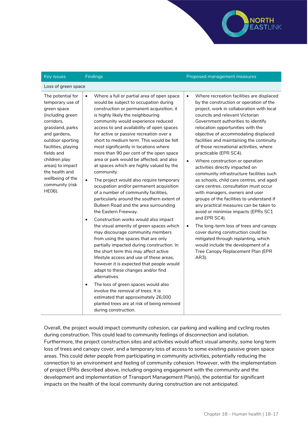

| <b>Key issues</b>                                                                                                                                                                                                                                                                           | <b>Findings</b>                                                                                                                                                                                                                                                                                                                                                                                                                                                                                                                                                                                                                                                                                                                                                                                                                                                                                                                                                                                                                                                                                                                                                                                                                                                                                                                                                                                                                             | Proposed management measures                                                                                                                                                                                                                                                                                                                                                                                                                                                                                                                                                                                                                                                                                                                                                                                                                                                                                                                                                                                                                        |
|---------------------------------------------------------------------------------------------------------------------------------------------------------------------------------------------------------------------------------------------------------------------------------------------|---------------------------------------------------------------------------------------------------------------------------------------------------------------------------------------------------------------------------------------------------------------------------------------------------------------------------------------------------------------------------------------------------------------------------------------------------------------------------------------------------------------------------------------------------------------------------------------------------------------------------------------------------------------------------------------------------------------------------------------------------------------------------------------------------------------------------------------------------------------------------------------------------------------------------------------------------------------------------------------------------------------------------------------------------------------------------------------------------------------------------------------------------------------------------------------------------------------------------------------------------------------------------------------------------------------------------------------------------------------------------------------------------------------------------------------------|-----------------------------------------------------------------------------------------------------------------------------------------------------------------------------------------------------------------------------------------------------------------------------------------------------------------------------------------------------------------------------------------------------------------------------------------------------------------------------------------------------------------------------------------------------------------------------------------------------------------------------------------------------------------------------------------------------------------------------------------------------------------------------------------------------------------------------------------------------------------------------------------------------------------------------------------------------------------------------------------------------------------------------------------------------|
| Loss of green space                                                                                                                                                                                                                                                                         |                                                                                                                                                                                                                                                                                                                                                                                                                                                                                                                                                                                                                                                                                                                                                                                                                                                                                                                                                                                                                                                                                                                                                                                                                                                                                                                                                                                                                                             |                                                                                                                                                                                                                                                                                                                                                                                                                                                                                                                                                                                                                                                                                                                                                                                                                                                                                                                                                                                                                                                     |
| The potential for<br>temporary use of<br>green space<br>(including green<br>corridors,<br>grassland, parks<br>and gardens,<br>outdoor sporting<br>facilities, playing<br>fields and<br>children play<br>areas) to impact<br>the health and<br>wellbeing of the<br>community (risk<br>HE06). | Where a full or partial area of open space<br>$\bullet$<br>would be subject to occupation during<br>construction or permanent acquisition, it<br>is highly likely the neighbouring<br>community would experience reduced<br>access to and availability of open spaces<br>for active or passive recreation over a<br>short to medium term. This would be felt<br>most significantly in locations where<br>more than 90 per cent of the open space<br>area or park would be affected, and also<br>at spaces which are highly valued by the<br>community.<br>The project would also require temporary<br>$\bullet$<br>occupation and/or permanent acquisition<br>of a number of community facilities,<br>particularly around the southern extent of<br>Bulleen Road and the area surrounding<br>the Eastern Freeway.<br>Construction works would also impact<br>$\bullet$<br>the visual amenity of green spaces which<br>may discourage community members<br>from using the spaces that are only<br>partially impacted during construction. In<br>the short term this may affect active<br>lifestyle access and use of these areas,<br>however it is expected that people would<br>adapt to these changes and/or find<br>alternatives.<br>The loss of green spaces would also<br>$\bullet$<br>involve the removal of trees. It is<br>estimated that approximately 26,000<br>planted trees are at risk of being removed<br>during construction. | Where recreation facilities are displaced<br>$\bullet$<br>by the construction or operation of the<br>project, work in collaboration with local<br>councils and relevant Victorian<br>Government authorities to identify<br>relocation opportunities with the<br>objective of accommodating displaced<br>facilities and maintaining the continuity<br>of those recreational activities, where<br>practicable (EPR SC4).<br>Where construction or operation<br>$\bullet$<br>activities directly impacted on<br>community infrastructure facilities such<br>as schools, child care centres, and aged<br>care centres, consultation must occur<br>with managers, owners and user<br>groups of the facilities to understand if<br>any practical measures can be taken to<br>avoid or minimise impacts (EPRs SC1<br>and EPR SC4).<br>The long-term loss of trees and canopy<br>$\bullet$<br>cover during construction could be<br>mitigated through replanting, which<br>would include the development of a<br>Tree Canopy Replacement Plan (EPR<br>AR3). |

Overall, the project would impact community cohesion, car parking and walking and cycling routes during construction. This could lead to community feelings of disconnection and isolation. Furthermore, the project construction sites and activities would affect visual amenity, some long term loss of trees and canopy cover, and a temporary loss of access to some existing passive green space areas. This could deter people from participating in community activities, potentially reducing the connection to an environment and feeling of community cohesion. However, with the implementation of project EPRs described above, including ongoing engagement with the community and the development and implementation of Transport Management Plan(s), the potential for significant impacts on the health of the local community during construction are not anticipated.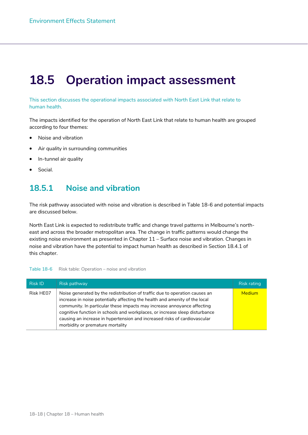### **18.5 Operation impact assessment**

This section discusses the operational impacts associated with North East Link that relate to human health.

The impacts identified for the operation of North East Link that relate to human health are grouped according to four themes:

- Noise and vibration
- Air quality in surrounding communities
- In-tunnel air quality
- Social.

#### **18.5.1 Noise and vibration**

The risk pathway associated with noise and vibration is described in Table 18-6 and potential impacts are discussed below.

North East Link is expected to redistribute traffic and change travel patterns in Melbourne's northeast and across the broader metropolitan area. The change in traffic patterns would change the existing noise environment as presented in Chapter 11 – Surface noise and vibration. Changes in noise and vibration have the potential to impact human health as described in Section 18.4.1 of this chapter.

| <b>Risk ID</b> | Risk pathway                                                                                                                                                                                                                                                                                                                                                                                                                          | <b>Risk rating</b> |
|----------------|---------------------------------------------------------------------------------------------------------------------------------------------------------------------------------------------------------------------------------------------------------------------------------------------------------------------------------------------------------------------------------------------------------------------------------------|--------------------|
| Risk HE07      | Noise generated by the redistribution of traffic due to operation causes an<br>increase in noise potentially affecting the health and amenity of the local<br>community. In particular these impacts may increase annoyance affecting<br>cognitive function in schools and workplaces, or increase sleep disturbance<br>causing an increase in hypertension and increased risks of cardiovascular<br>morbidity or premature mortality | <b>Medium</b>      |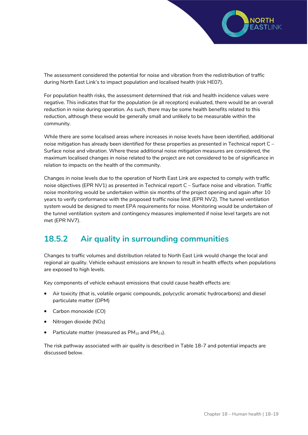

The assessment considered the potential for noise and vibration from the redistribution of traffic during North East Link's to impact population and localised health (risk HE07).

For population health risks, the assessment determined that risk and health incidence values were negative. This indicates that for the population (ie all receptors) evaluated, there would be an overall reduction in noise during operation. As such, there may be some health benefits related to this reduction, although these would be generally small and unlikely to be measurable within the community.

While there are some localised areas where increases in noise levels have been identified, additional noise mitigation has already been identified for these properties as presented in Technical report C – Surface noise and vibration. Where these additional noise mitigation measures are considered, the maximum localised changes in noise related to the project are not considered to be of significance in relation to impacts on the health of the community.

Changes in noise levels due to the operation of North East Link are expected to comply with traffic noise objectives (EPR NV1) as presented in Technical report C – Surface noise and vibration. Traffic noise monitoring would be undertaken within six months of the project opening and again after 10 years to verify conformance with the proposed traffic noise limit (EPR NV2). The tunnel ventilation system would be designed to meet EPA requirements for noise. Monitoring would be undertaken of the tunnel ventilation system and contingency measures implemented if noise level targets are not met (EPR NV7).

#### **18.5.2 Air quality in surrounding communities**

Changes to traffic volumes and distribution related to North East Link would change the local and regional air quality. Vehicle exhaust emissions are known to result in health effects when populations are exposed to high levels.

Key components of vehicle exhaust emissions that could cause health effects are:

- Air toxicity (that is, volatile organic compounds, polycyclic aromatic hydrocarbons) and diesel particulate matter (DPM)
- Carbon monoxide (CO)
- Nitrogen dioxide (NO₂)
- Particulate matter (measured as  $PM_{10}$  and  $PM_{2.5}$ ).

The risk pathway associated with air quality is described in Table 18-7 and potential impacts are discussed below.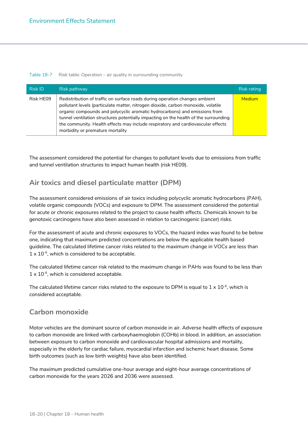#### Table 18-7 Risk table: Operation – air quality in surrounding community

| <b>Risk ID</b> | Risk pathway                                                                                                                                                                                                                                                                                                                                                                                                                                                   | <b>Risk rating</b> |
|----------------|----------------------------------------------------------------------------------------------------------------------------------------------------------------------------------------------------------------------------------------------------------------------------------------------------------------------------------------------------------------------------------------------------------------------------------------------------------------|--------------------|
| Risk HE09      | Redistribution of traffic on surface roads during operation changes ambient<br>pollutant levels (particulate matter, nitrogen dioxide, carbon monoxide, volatile<br>organic compounds and polycyclic aromatic hydrocarbons) and emissions from<br>tunnel ventilation structures potentially impacting on the health of the surrounding<br>the community. Health effects may include respiratory and cardiovascular effects<br>morbidity or premature mortality | <b>Medium</b>      |

The assessment considered the potential for changes to pollutant levels due to emissions from traffic and tunnel ventilation structures to impact human health (risk HE09).

#### **Air toxics and diesel particulate matter (DPM)**

The assessment considered emissions of air toxics including polycyclic aromatic hydrocarbons (PAH), volatile organic compounds (VOCs) and exposure to DPM. The assessment considered the potential for acute or chronic exposures related to the project to cause health effects. Chemicals known to be genotoxic carcinogens have also been assessed in relation to carcinogenic (cancer) risks.

For the assessment of acute and chronic exposures to VOCs, the hazard index was found to be below one, indicating that maximum predicted concentrations are below the applicable health based guideline. The calculated lifetime cancer risks related to the maximum change in VOCs are less than  $1 \times 10^{-6}$ , which is considered to be acceptable.

The calculated lifetime cancer risk related to the maximum change in PAHs was found to be less than  $1 \times 10^{-6}$ , which is considered acceptable.

The calculated lifetime cancer risks related to the exposure to DPM is equal to  $1 \times 10^{-6}$ , which is considered acceptable.

#### **Carbon monoxide**

Motor vehicles are the dominant source of carbon monoxide in air. Adverse health effects of exposure to carbon monoxide are linked with carboxyhaemoglobin (COHb) in blood. In addition, an association between exposure to carbon monoxide and cardiovascular hospital admissions and mortality, especially in the elderly for cardiac failure, myocardial infarction and ischemic heart disease. Some birth outcomes (such as low birth weights) have also been identified.

The maximum predicted cumulative one-hour average and eight-hour average concentrations of carbon monoxide for the years 2026 and 2036 were assessed.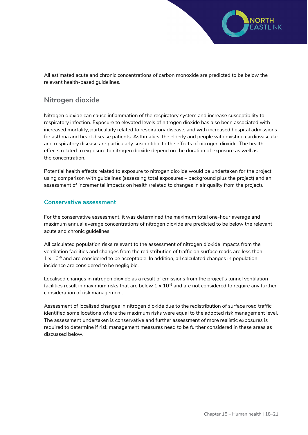

All estimated acute and chronic concentrations of carbon monoxide are predicted to be below the relevant health-based guidelines.

#### **Nitrogen dioxide**

Nitrogen dioxide can cause inflammation of the respiratory system and increase susceptibility to respiratory infection. Exposure to elevated levels of nitrogen dioxide has also been associated with increased mortality, particularly related to respiratory disease, and with increased hospital admissions for asthma and heart disease patients. Asthmatics, the elderly and people with existing cardiovascular and respiratory disease are particularly susceptible to the effects of nitrogen dioxide. The health effects related to exposure to nitrogen dioxide depend on the duration of exposure as well as the concentration.

Potential health effects related to exposure to nitrogen dioxide would be undertaken for the project using comparison with guidelines (assessing total exposures – background plus the project) and an assessment of incremental impacts on health (related to changes in air quality from the project).

#### **Conservative assessment**

For the conservative assessment, it was determined the maximum total one-hour average and maximum annual average concentrations of nitrogen dioxide are predicted to be below the relevant acute and chronic guidelines.

All calculated population risks relevant to the assessment of nitrogen dioxide impacts from the ventilation facilities and changes from the redistribution of traffic on surface roads are less than  $1 \times 10^{-5}$  and are considered to be acceptable. In addition, all calculated changes in population incidence are considered to be negligible.

Localised changes in nitrogen dioxide as a result of emissions from the project's tunnel ventilation facilities result in maximum risks that are below  $1 \times 10^{-5}$  and are not considered to require any further consideration of risk management.

Assessment of localised changes in nitrogen dioxide due to the redistribution of surface road traffic identified some locations where the maximum risks were equal to the adopted risk management level. The assessment undertaken is conservative and further assessment of more realistic exposures is required to determine if risk management measures need to be further considered in these areas as discussed below.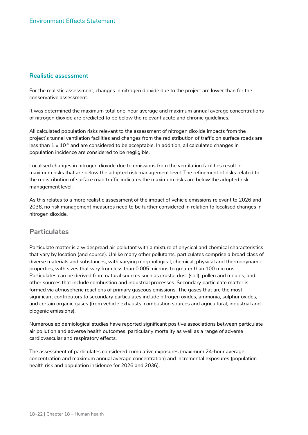#### **Realistic assessment**

For the realistic assessment, changes in nitrogen dioxide due to the project are lower than for the conservative assessment.

It was determined the maximum total one-hour average and maximum annual average concentrations of nitrogen dioxide are predicted to be below the relevant acute and chronic guidelines.

All calculated population risks relevant to the assessment of nitrogen dioxide impacts from the project's tunnel ventilation facilities and changes from the redistribution of traffic on surface roads are less than  $1 \times 10^{-5}$  and are considered to be acceptable. In addition, all calculated changes in population incidence are considered to be negligible.

Localised changes in nitrogen dioxide due to emissions from the ventilation facilities result in maximum risks that are below the adopted risk management level. The refinement of risks related to the redistribution of surface road traffic indicates the maximum risks are below the adopted risk management level.

As this relates to a more realistic assessment of the impact of vehicle emissions relevant to 2026 and 2036, no risk management measures need to be further considered in relation to localised changes in nitrogen dioxide.

#### **Particulates**

Particulate matter is a widespread air pollutant with a mixture of physical and chemical characteristics that vary by location (and source). Unlike many other pollutants, particulates comprise a broad class of diverse materials and substances, with varying morphological, chemical, physical and thermodynamic properties, with sizes that vary from less than 0.005 microns to greater than 100 microns. Particulates can be derived from natural sources such as crustal dust (soil), pollen and moulds, and other sources that include combustion and industrial processes. Secondary particulate matter is formed via atmospheric reactions of primary gaseous emissions. The gases that are the most significant contributors to secondary particulates include nitrogen oxides, ammonia, sulphur oxides, and certain organic gases (from vehicle exhausts, combustion sources and agricultural, industrial and biogenic emissions).

Numerous epidemiological studies have reported significant positive associations between particulate air pollution and adverse health outcomes, particularly mortality as well as a range of adverse cardiovascular and respiratory effects.

The assessment of particulates considered cumulative exposures (maximum 24-hour average concentration and maximum annual average concentration) and incremental exposures (population health risk and population incidence for 2026 and 2036).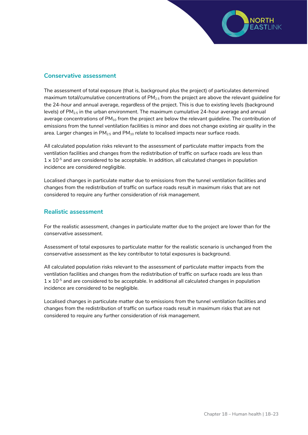

#### **Conservative assessment**

The assessment of total exposure (that is, background plus the project) of particulates determined maximum total/cumulative concentrations of  $PM_{2.5}$  from the project are above the relevant guideline for the 24-hour and annual average, regardless of the project. This is due to existing levels (background levels) of  $PM_{25}$  in the urban environment. The maximum cumulative 24-hour average and annual average concentrations of  $PM_{10}$  from the project are below the relevant guideline. The contribution of emissions from the tunnel ventilation facilities is minor and does not change existing air quality in the area. Larger changes in  $PM_{2.5}$  and  $PM_{10}$  relate to localised impacts near surface roads.

All calculated population risks relevant to the assessment of particulate matter impacts from the ventilation facilities and changes from the redistribution of traffic on surface roads are less than  $1 \times 10^{-5}$  and are considered to be acceptable. In addition, all calculated changes in population incidence are considered negligible.

Localised changes in particulate matter due to emissions from the tunnel ventilation facilities and changes from the redistribution of traffic on surface roads result in maximum risks that are not considered to require any further consideration of risk management.

#### **Realistic assessment**

For the realistic assessment, changes in particulate matter due to the project are lower than for the conservative assessment.

Assessment of total exposures to particulate matter for the realistic scenario is unchanged from the conservative assessment as the key contributor to total exposures is background.

All calculated population risks relevant to the assessment of particulate matter impacts from the ventilation facilities and changes from the redistribution of traffic on surface roads are less than  $1 \times 10^{-5}$  and are considered to be acceptable. In additional all calculated changes in population incidence are considered to be negligible.

Localised changes in particulate matter due to emissions from the tunnel ventilation facilities and changes from the redistribution of traffic on surface roads result in maximum risks that are not considered to require any further consideration of risk management.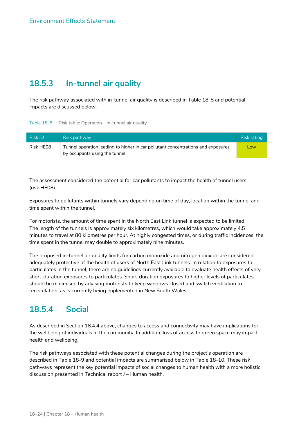#### **18.5.3 In-tunnel air quality**

The risk pathway associated with in-tunnel air quality is described in Table 18-8 and potential impacts are discussed below.

| Table 18-8 | Risk table: Operation - in-tunnel air quality |  |  |  |
|------------|-----------------------------------------------|--|--|--|
|------------|-----------------------------------------------|--|--|--|

| <b>Risk ID</b> | Risk pathway                                                                                                      | <b>Risk rating</b> |
|----------------|-------------------------------------------------------------------------------------------------------------------|--------------------|
| Risk HE08      | Tunnel operation leading to higher in car pollutant concentrations and exposures<br>by occupants using the tunnel | Low                |

The assessment considered the potential for car pollutants to impact the health of tunnel users (risk HE08).

Exposures to pollutants within tunnels vary depending on time of day, location within the tunnel and time spent within the tunnel.

For motorists, the amount of time spent in the North East Link tunnel is expected to be limited. The length of the tunnels is approximately six kilometres, which would take approximately 4.5 minutes to travel at 80 kilometres per hour. At highly congested times, or during traffic incidences, the time spent in the tunnel may double to approximately nine minutes.

The proposed in-tunnel air quality limits for carbon monoxide and nitrogen dioxide are considered adequately protective of the health of users of North East Link tunnels. In relation to exposures to particulates in the tunnel, there are no guidelines currently available to evaluate health effects of very short-duration exposures to particulates. Short-duration exposures to higher levels of particulates should be minimised by advising motorists to keep windows closed and switch ventilation to recirculation, as is currently being implemented in New South Wales.

#### **18.5.4 Social**

As described in Section 18.4.4 above, changes to access and connectivity may have implications for the wellbeing of individuals in the community. In addition, loss of access to green space may impact health and wellbeing.

The risk pathways associated with these potential changes during the project's operation are described in Table 18-9 and potential impacts are summarised below in Table 18-10. These risk pathways represent the key potential impacts of social changes to human health with a more holistic discussion presented in Technical report J – Human health.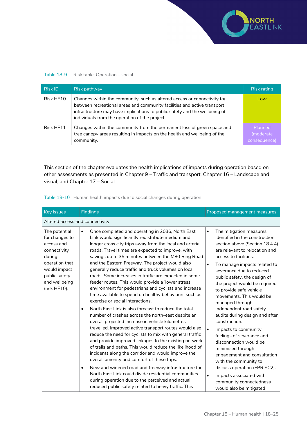

#### Table 18-9 Risk table: Operation – social

| <b>Risk ID</b> | Risk pathway                                                                                                                                                                                                                                                                        | <b>Risk rating</b>                    |
|----------------|-------------------------------------------------------------------------------------------------------------------------------------------------------------------------------------------------------------------------------------------------------------------------------------|---------------------------------------|
| Risk HE10      | Changes within the community, such as altered access or connectivity to/<br>between recreational areas and community facilities and active transport<br>infrastructure may have implications to public safety and the wellbeing of<br>individuals from the operation of the project | Low                                   |
| Risk HE11      | Changes within the community from the permanent loss of green space and<br>tree canopy areas resulting in impacts on the health and wellbeing of the<br>community.                                                                                                                  | Planned<br>(moderate)<br>consequence) |

This section of the chapter evaluates the health implications of impacts during operation based on other assessments as presented in Chapter 9 – Traffic and transport, Chapter 16 – Landscape and visual, and Chapter 17 – Social.

| <b>Key issues</b>                                                                                                                                           | <b>Findings</b>                                                                                                                                                                                                                                                                                                                                                                                                                                                                                                                                                                                                                                                                                                                                                                                                                                                                                                                                                                                                                                                                                                                                                                                                                                                                                                                                                                                                                                | Proposed management measures                                                                                                                                                                                                                                                                                                                                                                                                                                                                                                                                                                                                                                                                                                                                                 |  |
|-------------------------------------------------------------------------------------------------------------------------------------------------------------|------------------------------------------------------------------------------------------------------------------------------------------------------------------------------------------------------------------------------------------------------------------------------------------------------------------------------------------------------------------------------------------------------------------------------------------------------------------------------------------------------------------------------------------------------------------------------------------------------------------------------------------------------------------------------------------------------------------------------------------------------------------------------------------------------------------------------------------------------------------------------------------------------------------------------------------------------------------------------------------------------------------------------------------------------------------------------------------------------------------------------------------------------------------------------------------------------------------------------------------------------------------------------------------------------------------------------------------------------------------------------------------------------------------------------------------------|------------------------------------------------------------------------------------------------------------------------------------------------------------------------------------------------------------------------------------------------------------------------------------------------------------------------------------------------------------------------------------------------------------------------------------------------------------------------------------------------------------------------------------------------------------------------------------------------------------------------------------------------------------------------------------------------------------------------------------------------------------------------------|--|
| Altered access and connectivity                                                                                                                             |                                                                                                                                                                                                                                                                                                                                                                                                                                                                                                                                                                                                                                                                                                                                                                                                                                                                                                                                                                                                                                                                                                                                                                                                                                                                                                                                                                                                                                                |                                                                                                                                                                                                                                                                                                                                                                                                                                                                                                                                                                                                                                                                                                                                                                              |  |
| The potential<br>for changes to<br>access and<br>connectivity<br>during<br>operation that<br>would impact<br>public safety<br>and wellbeing<br>(risk HE10). | Once completed and operating in 2036, North East<br>$\bullet$<br>Link would significantly redistribute medium and<br>longer cross city trips away from the local and arterial<br>roads. Travel times are expected to improve, with<br>savings up to 35 minutes between the M80 Ring Road<br>and the Eastern Freeway. The project would also<br>generally reduce traffic and truck volumes on local<br>roads. Some increases in traffic are expected in some<br>feeder routes. This would provide a 'lower stress'<br>environment for pedestrians and cyclists and increase<br>time available to spend on healthy behaviours such as<br>exercise or social interactions.<br>North East Link is also forecast to reduce the total<br>$\bullet$<br>number of crashes across the north-east despite an<br>overall projected increase in vehicle kilometres<br>travelled. Improved active transport routes would also<br>reduce the need for cyclists to mix with general traffic<br>and provide improved linkages to the existing network<br>of trails and paths. This would reduce the likelihood of<br>incidents along the corridor and would improve the<br>overall amenity and comfort of these trips.<br>New and widened road and freeway infrastructure for<br>$\bullet$<br>North East Link could divide residential communities<br>during operation due to the perceived and actual<br>reduced public safety related to heavy traffic. This | The mitigation measures<br>$\bullet$<br>identified in the construction<br>section above (Section 18.4.4)<br>are relevant to relocation and<br>access to facilities.<br>To manage impacts related to<br>$\bullet$<br>severance due to reduced<br>public safety, the design of<br>the project would be required<br>to provide safe vehicle<br>movements. This would be<br>managed through<br>independent road safety<br>audits during design and after<br>construction.<br>$\bullet$<br>Impacts to community<br>feelings of severance and<br>disconnection would be<br>minimised through<br>engagement and consultation<br>with the community to<br>discuss operation (EPR SC2).<br>Impacts associated with<br>$\bullet$<br>community connectedness<br>would also be mitigated |  |

Table 18-10 Human health impacts due to social changes during operation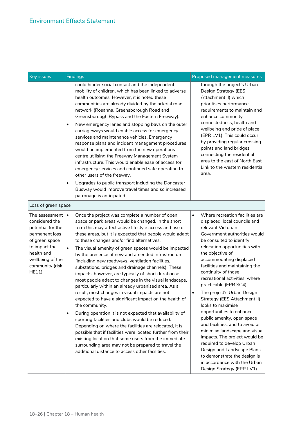| Key issues                                                                                                                                                                | <b>Findings</b>                                                                                                                                                                                                                                                                                                                                                                                                                                                                                                                                                                                                                                                                                                                                                                                                                                                                                                                                                                                                                                                                                                                                                                                                                                       | Proposed management measures                                                                                                                                                                                                                                                                                                                                                                                                                                                                                                                                                                                                                                                                                                                                                                 |
|---------------------------------------------------------------------------------------------------------------------------------------------------------------------------|-------------------------------------------------------------------------------------------------------------------------------------------------------------------------------------------------------------------------------------------------------------------------------------------------------------------------------------------------------------------------------------------------------------------------------------------------------------------------------------------------------------------------------------------------------------------------------------------------------------------------------------------------------------------------------------------------------------------------------------------------------------------------------------------------------------------------------------------------------------------------------------------------------------------------------------------------------------------------------------------------------------------------------------------------------------------------------------------------------------------------------------------------------------------------------------------------------------------------------------------------------|----------------------------------------------------------------------------------------------------------------------------------------------------------------------------------------------------------------------------------------------------------------------------------------------------------------------------------------------------------------------------------------------------------------------------------------------------------------------------------------------------------------------------------------------------------------------------------------------------------------------------------------------------------------------------------------------------------------------------------------------------------------------------------------------|
|                                                                                                                                                                           | could hinder social contact and the independent<br>mobility of children, which has been linked to adverse<br>health outcomes. However, it is noted these<br>communities are already divided by the arterial road<br>network (Rosanna, Greensborough Road and<br>Greensborough Bypass and the Eastern Freeway).<br>New emergency lanes and stopping bays on the outer<br>$\bullet$<br>carriageways would enable access for emergency<br>services and maintenance vehicles. Emergency<br>response plans and incident management procedures<br>would be implemented from the new operations<br>centre utilising the Freeway Management System<br>infrastructure. This would enable ease of access for<br>emergency services and continued safe operation to<br>other users of the freeway.<br>Upgrades to public transport including the Doncaster<br>$\bullet$<br>Busway would improve travel times and so increased<br>patronage is anticipated.                                                                                                                                                                                                                                                                                                       | through the project's Urban<br>Design Strategy (EES<br>Attachment II) which<br>prioritises performance<br>requirements to maintain and<br>enhance community<br>connectedness, health and<br>wellbeing and pride of place<br>(EPR LV1). This could occur<br>by providing regular crossing<br>points and land bridges<br>connecting the residential<br>area to the east of North East<br>Link to the western residential<br>area.                                                                                                                                                                                                                                                                                                                                                              |
| Loss of green space                                                                                                                                                       |                                                                                                                                                                                                                                                                                                                                                                                                                                                                                                                                                                                                                                                                                                                                                                                                                                                                                                                                                                                                                                                                                                                                                                                                                                                       |                                                                                                                                                                                                                                                                                                                                                                                                                                                                                                                                                                                                                                                                                                                                                                                              |
| The assessment<br>considered the<br>potential for the<br>permanent loss<br>of green space<br>to impact the<br>health and<br>wellbeing of the<br>community (risk<br>HE11). | Once the project was complete a number of open<br>$\bullet$<br>space or park areas would be changed. In the short<br>term this may affect active lifestyle access and use of<br>these areas, but it is expected that people would adapt<br>to these changes and/or find alternatives.<br>$\bullet$<br>The visual amenity of green spaces would be impacted<br>by the presence of new and amended infrastructure<br>(including new roadways, ventilation facilities,<br>substations, bridges and drainage channels). These<br>impacts, however, are typically of short duration as<br>most people adapt to changes in the visual landscape,<br>particularly within an already urbanised area. As a<br>result, most changes in visual impacts are not<br>expected to have a significant impact on the health of<br>the community.<br>During operation it is not expected that availability of<br>$\bullet$<br>sporting facilities and clubs would be reduced.<br>Depending on where the facilities are relocated, it is<br>possible that if facilities were located further from their<br>existing location that some users from the immediate<br>surrounding area may not be prepared to travel the<br>additional distance to access other facilities. | Where recreation facilities are<br>$\bullet$<br>displaced, local councils and<br>relevant Victorian<br>Government authorities would<br>be consulted to identify<br>relocation opportunities with<br>the objective of<br>accommodating displaced<br>facilities and maintaining the<br>continuity of those<br>recreational activities, where<br>practicable (EPR SC4).<br>The project's Urban Design<br>$\bullet$<br>Strategy (EES Attachment II)<br>looks to maximise<br>opportunities to enhance<br>public amenity, open space<br>and facilities, and to avoid or<br>minimise landscape and visual<br>impacts. The project would be<br>required to develop Urban<br>Design and Landscape Plans<br>to demonstrate the design is<br>in accordance with the Urban<br>Design Strategy (EPR LV1). |